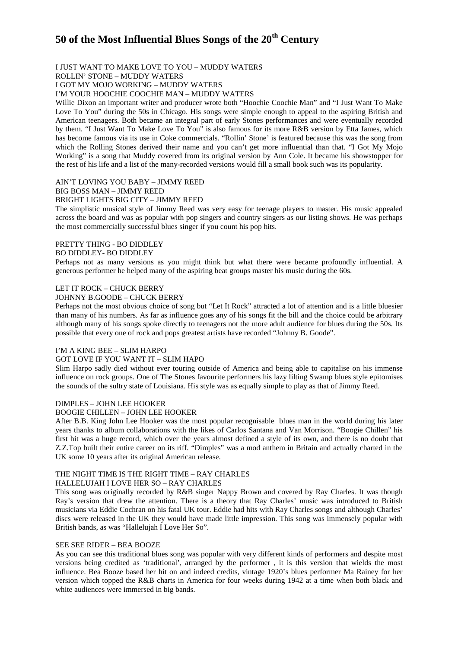# **50 of the Most Influential Blues Songs of the 20th Century**

# I JUST WANT TO MAKE LOVE TO YOU – MUDDY WATERS

ROLLIN' STONE – MUDDY WATERS

I GOT MY MOJO WORKING – MUDDY WATERS

I'M YOUR HOOCHIE COOCHIE MAN – MUDDY WATERS

Willie Dixon an important writer and producer wrote both "Hoochie Coochie Man" and "I Just Want To Make Love To You" during the 50s in Chicago. His songs were simple enough to appeal to the aspiring British and American teenagers. Both became an integral part of early Stones performances and were eventually recorded by them. "I Just Want To Make Love To You" is also famous for its more R&B version by Etta James, which has become famous via its use in Coke commercials. "Rollin' Stone' is featured because this was the song from which the Rolling Stones derived their name and you can't get more influential than that. "I Got My Mojo Working" is a song that Muddy covered from its original version by Ann Cole. It became his showstopper for the rest of his life and a list of the many-recorded versions would fill a small book such was its popularity.

# AIN'T LOVING YOU BABY – JIMMY REED

# BIG BOSS MAN – JIMMY REED

# BRIGHT LIGHTS BIG CITY – JIMMY REED

The simplistic musical style of Jimmy Reed was very easy for teenage players to master. His music appealed across the board and was as popular with pop singers and country singers as our listing shows. He was perhaps the most commercially successful blues singer if you count his pop hits.

# PRETTY THING - BO DIDDLEY

# BO DIDDLEY- BO DIDDLEY

Perhaps not as many versions as you might think but what there were became profoundly influential. A generous performer he helped many of the aspiring beat groups master his music during the 60s.

#### LET IT ROCK – CHUCK BERRY

#### JOHNNY B.GOODE – CHUCK BERRY

Perhaps not the most obvious choice of song but "Let It Rock" attracted a lot of attention and is a little bluesier than many of his numbers. As far as influence goes any of his songs fit the bill and the choice could be arbitrary although many of his songs spoke directly to teenagers not the more adult audience for blues during the 50s. Its possible that every one of rock and pops greatest artists have recorded "Johnny B. Goode".

#### I'M A KING BEE – SLIM HARPO

### GOT LOVE IF YOU WANT IT – SLIM HAPO

Slim Harpo sadly died without ever touring outside of America and being able to capitalise on his immense influence on rock groups. One of The Stones favourite performers his lazy lilting Swamp blues style epitomises the sounds of the sultry state of Louisiana. His style was as equally simple to play as that of Jimmy Reed.

#### DIMPLES – JOHN LEE HOOKER

### BOOGIE CHILLEN – JOHN LEE HOOKER

After B.B. King John Lee Hooker was the most popular recognisable blues man in the world during his later years thanks to album collaborations with the likes of Carlos Santana and Van Morrison. "Boogie Chillen" his first hit was a huge record, which over the years almost defined a style of its own, and there is no doubt that Z.Z.Top built their entire career on its riff. "Dimples" was a mod anthem in Britain and actually charted in the UK some 10 years after its original American release.

# THE NIGHT TIME IS THE RIGHT TIME – RAY CHARLES

# HALLELUJAH I LOVE HER SO – RAY CHARLES

This song was originally recorded by R&B singer Nappy Brown and covered by Ray Charles. It was though Ray's version that drew the attention. There is a theory that Ray Charles' music was introduced to British musicians via Eddie Cochran on his fatal UK tour. Eddie had hits with Ray Charles songs and although Charles' discs were released in the UK they would have made little impression. This song was immensely popular with British bands, as was "Hallelujah I Love Her So".

## SEE SEE RIDER – BEA BOOZE

As you can see this traditional blues song was popular with very different kinds of performers and despite most versions being credited as 'traditional', arranged by the performer , it is this version that wields the most influence. Bea Booze based her hit on and indeed credits, vintage 1920's blues performer Ma Rainey for her version which topped the R&B charts in America for four weeks during 1942 at a time when both black and white audiences were immersed in big bands.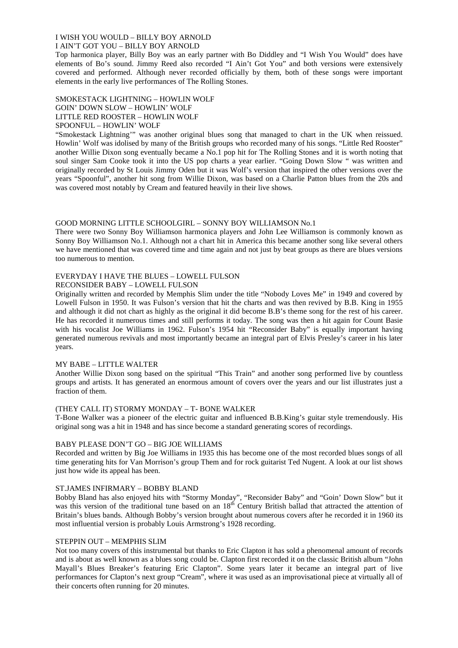# I WISH YOU WOULD – BILLY BOY ARNOLD

# I AIN'T GOT YOU – BILLY BOY ARNOLD

Top harmonica player, Billy Boy was an early partner with Bo Diddley and "I Wish You Would" does have elements of Bo's sound. Jimmy Reed also recorded "I Ain't Got You" and both versions were extensively covered and performed. Although never recorded officially by them, both of these songs were important elements in the early live performances of The Rolling Stones.

# SMOKESTACK LIGHTNING – HOWLIN WOLF GOIN' DOWN SLOW – HOWLIN' WOLF LITTLE RED ROOSTER – HOWLIN WOLF SPOONFUL – HOWLIN' WOLF

"Smokestack Lightning'" was another original blues song that managed to chart in the UK when reissued. Howlin' Wolf was idolised by many of the British groups who recorded many of his songs. "Little Red Rooster" another Willie Dixon song eventually became a No.1 pop hit for The Rolling Stones and it is worth noting that soul singer Sam Cooke took it into the US pop charts a year earlier. "Going Down Slow " was written and originally recorded by St Louis Jimmy Oden but it was Wolf's version that inspired the other versions over the years "Spoonful", another hit song from Willie Dixon, was based on a Charlie Patton blues from the 20s and was covered most notably by Cream and featured heavily in their live shows.

# GOOD MORNING LITTLE SCHOOLGIRL – SONNY BOY WILLIAMSON No.1

There were two Sonny Boy Williamson harmonica players and John Lee Williamson is commonly known as Sonny Boy Williamson No.1. Although not a chart hit in America this became another song like several others we have mentioned that was covered time and time again and not just by beat groups as there are blues versions too numerous to mention.

# EVERYDAY I HAVE THE BLUES – LOWELL FULSON

# RECONSIDER BABY – LOWELL FULSON

Originally written and recorded by Memphis Slim under the title "Nobody Loves Me" in 1949 and covered by Lowell Fulson in 1950. It was Fulson's version that hit the charts and was then revived by B.B. King in 1955 and although it did not chart as highly as the original it did become B.B's theme song for the rest of his career. He has recorded it numerous times and still performs it today. The song was then a hit again for Count Basie with his vocalist Joe Williams in 1962. Fulson's 1954 hit "Reconsider Baby" is equally important having generated numerous revivals and most importantly became an integral part of Elvis Presley's career in his later years.

# MY BABE – LITTLE WALTER

Another Willie Dixon song based on the spiritual "This Train" and another song performed live by countless groups and artists. It has generated an enormous amount of covers over the years and our list illustrates just a fraction of them.

# (THEY CALL IT) STORMY MONDAY – T- BONE WALKER

T-Bone Walker was a pioneer of the electric guitar and influenced B.B.King's guitar style tremendously. His original song was a hit in 1948 and has since become a standard generating scores of recordings.

# BABY PLEASE DON'T GO – BIG JOE WILLIAMS

Recorded and written by Big Joe Williams in 1935 this has become one of the most recorded blues songs of all time generating hits for Van Morrison's group Them and for rock guitarist Ted Nugent. A look at our list shows just how wide its appeal has been.

# ST.JAMES INFIRMARY – BOBBY BLAND

Bobby Bland has also enjoyed hits with "Stormy Monday", "Reconsider Baby" and "Goin' Down Slow" but it was this version of the traditional tune based on an 18<sup>th</sup> Century British ballad that attracted the attention of Britain's blues bands. Although Bobby's version brought about numerous covers after he recorded it in 1960 its most influential version is probably Louis Armstrong's 1928 recording.

# STEPPIN OUT – MEMPHIS SLIM

Not too many covers of this instrumental but thanks to Eric Clapton it has sold a phenomenal amount of records and is about as well known as a blues song could be. Clapton first recorded it on the classic British album "John Mayall's Blues Breaker's featuring Eric Clapton". Some years later it became an integral part of live performances for Clapton's next group "Cream", where it was used as an improvisational piece at virtually all of their concerts often running for 20 minutes.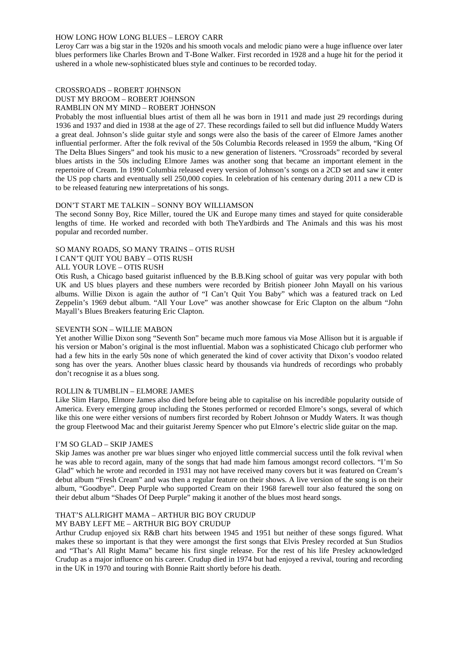## HOW LONG HOW LONG BLUES – LEROY CARR

Leroy Carr was a big star in the 1920s and his smooth vocals and melodic piano were a huge influence over later blues performers like Charles Brown and T-Bone Walker. First recorded in 1928 and a huge hit for the period it ushered in a whole new-sophisticated blues style and continues to be recorded today.

### CROSSROADS – ROBERT JOHNSON DUST MY BROOM – ROBERT JOHNSON RAMBLIN ON MY MIND – ROBERT JOHNSON

Probably the most influential blues artist of them all he was born in 1911 and made just 29 recordings during 1936 and 1937 and died in 1938 at the age of 27. These recordings failed to sell but did influence Muddy Waters a great deal. Johnson's slide guitar style and songs were also the basis of the career of Elmore James another influential performer. After the folk revival of the 50s Columbia Records released in 1959 the album, "King Of The Delta Blues Singers" and took his music to a new generation of listeners. "Crossroads" recorded by several blues artists in the 50s including Elmore James was another song that became an important element in the repertoire of Cream. In 1990 Columbia released every version of Johnson's songs on a 2CD set and saw it enter the US pop charts and eventually sell 250,000 copies. In celebration of his centenary during 2011 a new CD is to be released featuring new interpretations of his songs.

## DON'T START ME TALKIN – SONNY BOY WILLIAMSON

The second Sonny Boy, Rice Miller, toured the UK and Europe many times and stayed for quite considerable lengths of time. He worked and recorded with both TheYardbirds and The Animals and this was his most popular and recorded number.

# SO MANY ROADS, SO MANY TRAINS – OTIS RUSH

# I CAN'T QUIT YOU BABY – OTIS RUSH

## ALL YOUR LOVE – OTIS RUSH

Otis Rush, a Chicago based guitarist influenced by the B.B.King school of guitar was very popular with both UK and US blues players and these numbers were recorded by British pioneer John Mayall on his various albums. Willie Dixon is again the author of "I Can't Quit You Baby" which was a featured track on Led Zeppelin's 1969 debut album. "All Your Love" was another showcase for Eric Clapton on the album "John Mayall's Blues Breakers featuring Eric Clapton.

#### SEVENTH SON – WILLIE MABON

Yet another Willie Dixon song "Seventh Son" became much more famous via Mose Allison but it is arguable if his version or Mabon's original is the most influential. Mabon was a sophisticated Chicago club performer who had a few hits in the early 50s none of which generated the kind of cover activity that Dixon's voodoo related song has over the years. Another blues classic heard by thousands via hundreds of recordings who probably don't recognise it as a blues song.

# ROLLIN & TUMBLIN – ELMORE JAMES

Like Slim Harpo, Elmore James also died before being able to capitalise on his incredible popularity outside of America. Every emerging group including the Stones performed or recorded Elmore's songs, several of which like this one were either versions of numbers first recorded by Robert Johnson or Muddy Waters. It was though the group Fleetwood Mac and their guitarist Jeremy Spencer who put Elmore's electric slide guitar on the map.

# I'M SO GLAD – SKIP JAMES

Skip James was another pre war blues singer who enjoyed little commercial success until the folk revival when he was able to record again, many of the songs that had made him famous amongst record collectors. "I'm So Glad" which he wrote and recorded in 1931 may not have received many covers but it was featured on Cream's debut album "Fresh Cream" and was then a regular feature on their shows. A live version of the song is on their album, "Goodbye". Deep Purple who supported Cream on their 1968 farewell tour also featured the song on their debut album "Shades Of Deep Purple" making it another of the blues most heard songs.

# THAT'S ALLRIGHT MAMA – ARTHUR BIG BOY CRUDUP

# MY BABY LEFT ME – ARTHUR BIG BOY CRUDUP

Arthur Crudup enjoyed six R&B chart hits between 1945 and 1951 but neither of these songs figured. What makes these so important is that they were amongst the first songs that Elvis Presley recorded at Sun Studios and "That's All Right Mama" became his first single release. For the rest of his life Presley acknowledged Crudup as a major influence on his career. Crudup died in 1974 but had enjoyed a revival, touring and recording in the UK in 1970 and touring with Bonnie Raitt shortly before his death.